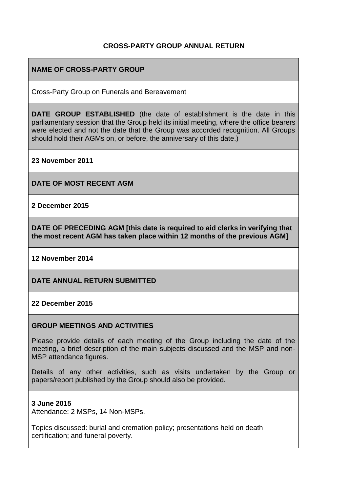### **CROSS-PARTY GROUP ANNUAL RETURN**

### **NAME OF CROSS-PARTY GROUP**

Cross-Party Group on Funerals and Bereavement

**DATE GROUP ESTABLISHED** (the date of establishment is the date in this parliamentary session that the Group held its initial meeting, where the office bearers were elected and not the date that the Group was accorded recognition. All Groups should hold their AGMs on, or before, the anniversary of this date.)

**23 November 2011**

**DATE OF MOST RECENT AGM**

**2 December 2015**

**DATE OF PRECEDING AGM [this date is required to aid clerks in verifying that the most recent AGM has taken place within 12 months of the previous AGM]**

**12 November 2014**

**DATE ANNUAL RETURN SUBMITTED**

#### **22 December 2015**

#### **GROUP MEETINGS AND ACTIVITIES**

Please provide details of each meeting of the Group including the date of the meeting, a brief description of the main subjects discussed and the MSP and non-MSP attendance figures.

Details of any other activities, such as visits undertaken by the Group or papers/report published by the Group should also be provided.

#### **3 June 2015**

Attendance: 2 MSPs, 14 Non-MSPs.

Topics discussed: burial and cremation policy; presentations held on death certification; and funeral poverty.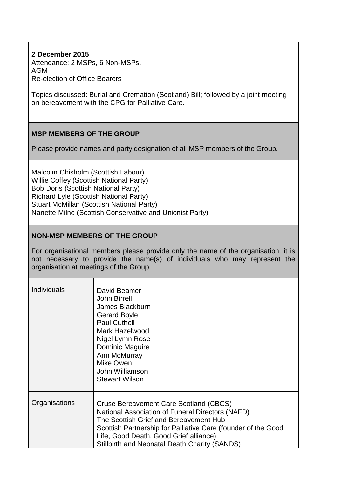### **2 December 2015**

Attendance: 2 MSPs, 6 Non-MSPs. AGM Re-election of Office Bearers

Topics discussed: Burial and Cremation (Scotland) Bill; followed by a joint meeting on bereavement with the CPG for Palliative Care.

## **MSP MEMBERS OF THE GROUP**

Please provide names and party designation of all MSP members of the Group.

Malcolm Chisholm (Scottish Labour) Willie Coffey (Scottish National Party) Bob Doris (Scottish National Party) Richard Lyle (Scottish National Party) Stuart McMillan (Scottish National Party) Nanette Milne (Scottish Conservative and Unionist Party)

#### **NON-MSP MEMBERS OF THE GROUP**

For organisational members please provide only the name of the organisation, it is not necessary to provide the name(s) of individuals who may represent the organisation at meetings of the Group.

| <b>Individuals</b> | David Beamer<br><b>John Birrell</b><br>James Blackburn<br><b>Gerard Boyle</b><br><b>Paul Cuthell</b><br>Mark Hazelwood<br>Nigel Lymn Rose<br>Dominic Maguire<br>Ann McMurray<br>Mike Owen<br>John Williamson<br><b>Stewart Wilson</b>                                                            |
|--------------------|--------------------------------------------------------------------------------------------------------------------------------------------------------------------------------------------------------------------------------------------------------------------------------------------------|
| Organisations      | Cruse Bereavement Care Scotland (CBCS)<br>National Association of Funeral Directors (NAFD)<br>The Scottish Grief and Bereavement Hub<br>Scottish Partnership for Palliative Care (founder of the Good<br>Life, Good Death, Good Grief alliance)<br>Stillbirth and Neonatal Death Charity (SANDS) |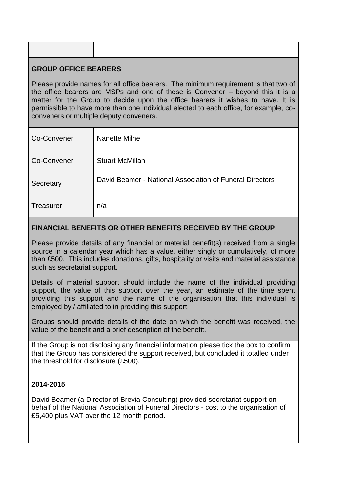## **GROUP OFFICE BEARERS**

Please provide names for all office bearers. The minimum requirement is that two of the office bearers are MSPs and one of these is Convener – beyond this it is a matter for the Group to decide upon the office bearers it wishes to have. It is permissible to have more than one individual elected to each office, for example, coconveners or multiple deputy conveners.

| Co-Convener      | Nanette Milne                                            |
|------------------|----------------------------------------------------------|
| Co-Convener      | <b>Stuart McMillan</b>                                   |
| Secretary        | David Beamer - National Association of Funeral Directors |
| <b>Treasurer</b> | n/a                                                      |

## **FINANCIAL BENEFITS OR OTHER BENEFITS RECEIVED BY THE GROUP**

Please provide details of any financial or material benefit(s) received from a single source in a calendar year which has a value, either singly or cumulatively, of more than £500. This includes donations, gifts, hospitality or visits and material assistance such as secretariat support.

Details of material support should include the name of the individual providing support, the value of this support over the year, an estimate of the time spent providing this support and the name of the organisation that this individual is employed by / affiliated to in providing this support.

Groups should provide details of the date on which the benefit was received, the value of the benefit and a brief description of the benefit.

If the Group is not disclosing any financial information please tick the box to confirm that the Group has considered the support received, but concluded it totalled under the threshold for disclosure (£500).

#### **2014-2015**

David Beamer (a Director of Brevia Consulting) provided secretariat support on behalf of the National Association of Funeral Directors - cost to the organisation of £5,400 plus VAT over the 12 month period.